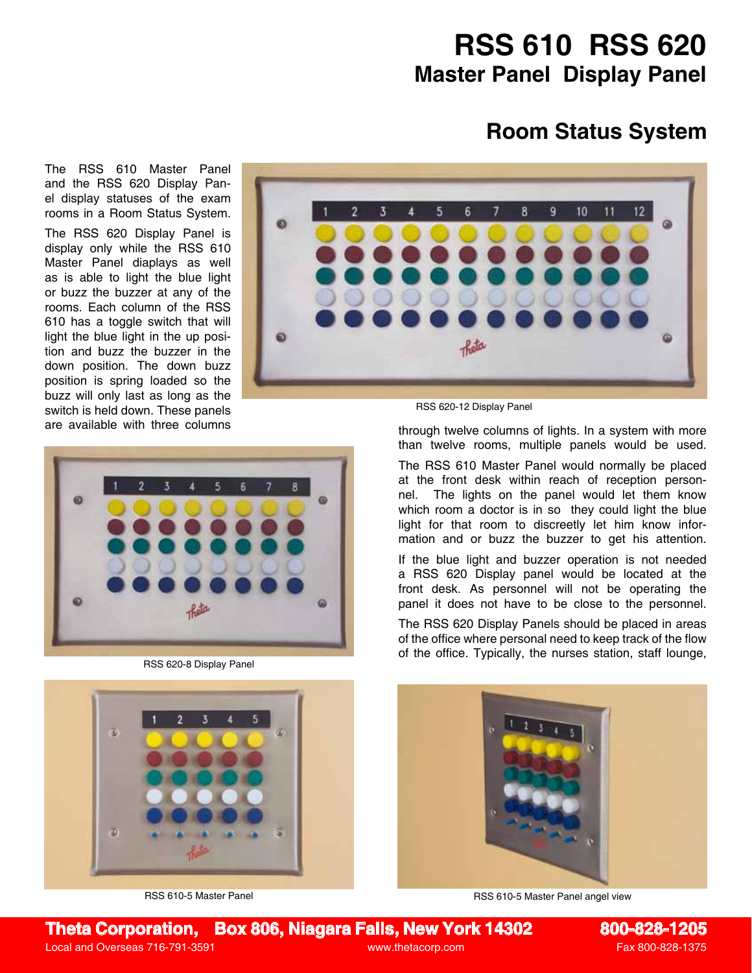## **RSS 610 RSS 620 Master Panel Display Panel**

## **Room Status System**

The RSS 610 Master Panel and the RSS 620 Display Panel display statuses of the exam rooms in a Room Status System.

The RSS 620 Display Panel is display only while the RSS 610 Master Panel diaplays as well as is able to light the blue light or buzz the buzzer at any of the rooms. Each column of the RSS 610 has a toggle switch that will light the blue light in the up position and buzz the buzzer in the down position. The down buzz position is spring loaded so the buzz will only last as long as the switch is held down. These panels





are available with three columns through twelve columns of lights. In a system with more than twelve rooms, multiple panels would be used.

> The RSS 610 Master Panel would normally be placed at the front desk within reach of reception personnel. The lights on the panel would let them know which room a doctor is in so they could light the blue light for that room to discreetly let him know information and or buzz the buzzer to get his attention.

> If the blue light and buzzer operation is not needed a RSS 620 Display panel would be located at the front desk. As personnel will not be operating the panel it does not have to be close to the personnel.

> The RSS 620 Display Panels should be placed in areas of the office where personal need to keep track of the flow of the office. Typically, the nurses station, staff lounge,



RSS 610-5 Master Panel angel view



RSS 620-8 Display Panel



RSS 610-5 Master Panel

**Theta Corporation, Box 806, Niagara Falls, New York 14302 800-828-1205**

Local and Overseas 716-791-3591 **Example 2018** www.thetacorp.com Fax 800-828-1375